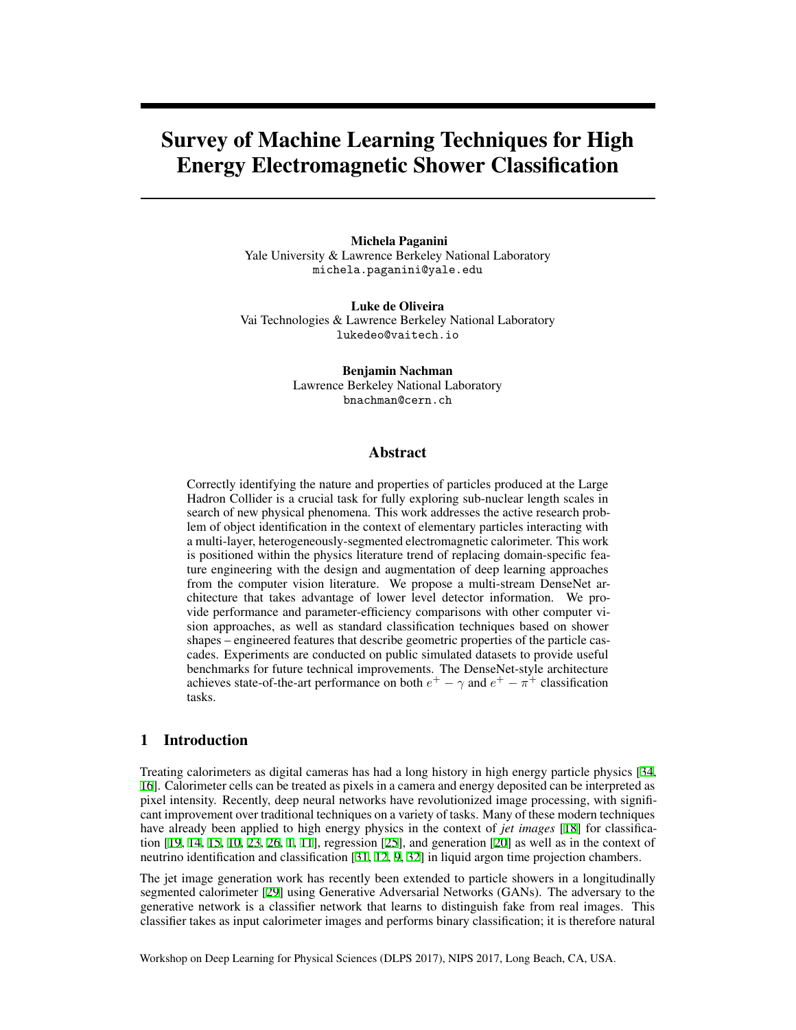# Survey of Machine Learning Techniques for High Energy Electromagnetic Shower Classification

Michela Paganini Yale University & Lawrence Berkeley National Laboratory michela.paganini@yale.edu

Luke de Oliveira Vai Technologies & Lawrence Berkeley National Laboratory lukedeo@vaitech.io

> Benjamin Nachman Lawrence Berkeley National Laboratory bnachman@cern.ch

#### Abstract

Correctly identifying the nature and properties of particles produced at the Large Hadron Collider is a crucial task for fully exploring sub-nuclear length scales in search of new physical phenomena. This work addresses the active research problem of object identification in the context of elementary particles interacting with a multi-layer, heterogeneously-segmented electromagnetic calorimeter. This work is positioned within the physics literature trend of replacing domain-specific feature engineering with the design and augmentation of deep learning approaches from the computer vision literature. We propose a multi-stream DenseNet architecture that takes advantage of lower level detector information. We provide performance and parameter-efficiency comparisons with other computer vision approaches, as well as standard classification techniques based on shower shapes – engineered features that describe geometric properties of the particle cascades. Experiments are conducted on public simulated datasets to provide useful benchmarks for future technical improvements. The DenseNet-style architecture achieves state-of-the-art performance on both  $e^+ - \gamma$  and  $e^+ - \pi^+$  classification tasks.

### 1 Introduction

Treating calorimeters as digital cameras has had a long history in high energy particle physics [[34,](#page-5-0) [16\]](#page-4-0). Calorimeter cells can be treated as pixels in a camera and energy deposited can be interpreted as pixel intensity. Recently, deep neural networks have revolutionized image processing, with significant improvement over traditional techniques on a variety of tasks. Many of these modern techniques have already been applied to high energy physics in the context of *jet images* [[18\]](#page-5-1) for classification [[19,](#page-5-2) [14,](#page-4-1) [15,](#page-4-2) [10](#page-4-3), [23](#page-5-3), [26,](#page-5-4) [1,](#page-4-4) [11\]](#page-4-5), regression [\[25](#page-5-5)], and generation [\[20](#page-5-6)] as well as in the context of neutrino identification and classification [\[31](#page-5-7), [12](#page-4-6), [9](#page-4-7), [32](#page-5-8)] in liquid argon time projection chambers.

The jet image generation work has recently been extended to particle showers in a longitudinally segmented calorimeter [[29\]](#page-5-9) using Generative Adversarial Networks (GANs). The adversary to the generative network is a classifier network that learns to distinguish fake from real images. This classifier takes as input calorimeter images and performs binary classification; it is therefore natural

Workshop on Deep Learning for Physical Sciences (DLPS 2017), NIPS 2017, Long Beach, CA, USA.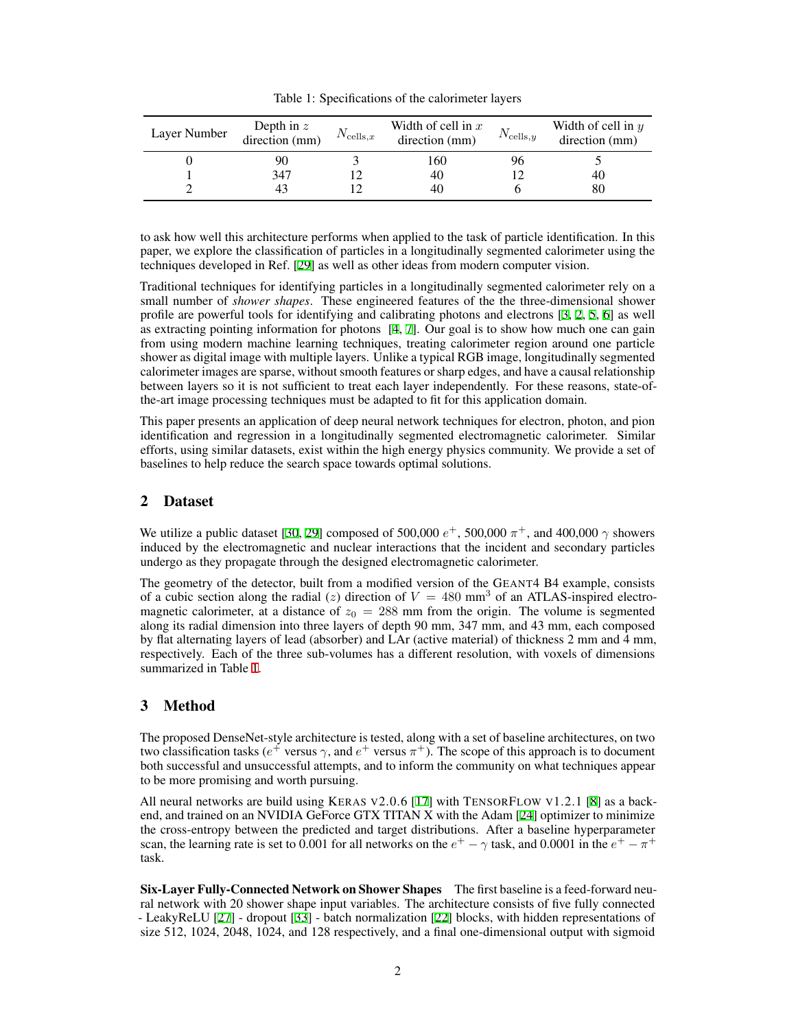<span id="page-1-0"></span>Table 1: Specifications of the calorimeter layers

| Layer Number | Depth in $z$<br>direction (mm) | $N_{\mathrm{cells},x}$ | Width of cell in $x$<br>direction (mm) | $N_{\text{cells},y}$ | Width of cell in $y$<br>direction (mm) |
|--------------|--------------------------------|------------------------|----------------------------------------|----------------------|----------------------------------------|
|              | 90                             |                        | 160                                    | りり                   |                                        |
|              | 347                            |                        | 40                                     |                      | 40                                     |
|              | 43                             |                        | 40                                     |                      | 80                                     |

to ask how well this architecture performs when applied to the task of particle identification. In this paper, we explore the classification of particles in a longitudinally segmented calorimeter using the techniques developed in Ref. [\[29](#page-5-9)] as well as other ideas from modern computer vision.

Traditional techniques for identifying particles in a longitudinally segmented calorimeter rely on a small number of *shower shapes*. These engineered features of the the three-dimensional shower profile are powerful tools for identifying and calibrating photons and electrons [[3](#page-4-8), [2](#page-4-9), [5,](#page-4-10) [6](#page-4-11)] as well as extracting pointing information for photons [\[4](#page-4-12), [7](#page-4-13)]. Our goal is to show how much one can gain from using modern machine learning techniques, treating calorimeter region around one particle shower as digital image with multiple layers. Unlike a typical RGB image, longitudinally segmented calorimeter images are sparse, without smooth features or sharp edges, and have a causal relationship between layers so it is not sufficient to treat each layer independently. For these reasons, state-ofthe-art image processing techniques must be adapted to fit for this application domain.

This paper presents an application of deep neural network techniques for electron, photon, and pion identification and regression in a longitudinally segmented electromagnetic calorimeter. Similar efforts, using similar datasets, exist within the high energy physics community. We provide a set of baselines to help reduce the search space towards optimal solutions.

# 2 Dataset

We utilize a public dataset [[30,](#page-5-10) [29](#page-5-9)] composed of 500,000 *e* <sup>+</sup>, 500,000 *π* <sup>+</sup>, and 400,000 *γ* showers induced by the electromagnetic and nuclear interactions that the incident and secondary particles undergo as they propagate through the designed electromagnetic calorimeter.

The geometry of the detector, built from a modified version of the GEANT4 B4 example, consists of a cubic section along the radial (*z*) direction of  $V = 480$  mm<sup>3</sup> of an ATLAS-inspired electromagnetic calorimeter, at a distance of  $z_0 = 288$  mm from the origin. The volume is segmented along its radial dimension into three layers of depth 90 mm, 347 mm, and 43 mm, each composed by flat alternating layers of lead (absorber) and LAr (active material) of thickness 2 mm and 4 mm, respectively. Each of the three sub-volumes has a different resolution, with voxels of dimensions summarized in Table [1.](#page-1-0)

## <span id="page-1-1"></span>3 Method

The proposed DenseNet-style architecture is tested, along with a set of baseline architectures, on two two classification tasks ( $e^+$  versus  $\gamma$ , and  $e^+$  versus  $\pi^+$ ). The scope of this approach is to document both successful and unsuccessful attempts, and to inform the community on what techniques appear to be more promising and worth pursuing.

All neural networks are build using KERAS V2.0.6 [[17\]](#page-5-11) with TENSORFLOW V1.2.1 [\[8](#page-4-14)] as a backend, and trained on an NVIDIA GeForce GTX TITAN X with the Adam [\[24](#page-5-12)] optimizer to minimize the cross-entropy between the predicted and target distributions. After a baseline hyperparameter scan, the learning rate is set to 0.001 for all networks on the  $e^+ - \gamma$  task, and 0.0001 in the  $e^+ - \pi^+$ task.

Six-Layer Fully-Connected Network on Shower Shapes The first baseline is a feed-forward neural network with 20 shower shape input variables. The architecture consists of five fully connected - LeakyReLU [[27\]](#page-5-13) - dropout [[33\]](#page-5-14) - batch normalization [[22\]](#page-5-15) blocks, with hidden representations of size 512, 1024, 2048, 1024, and 128 respectively, and a final one-dimensional output with sigmoid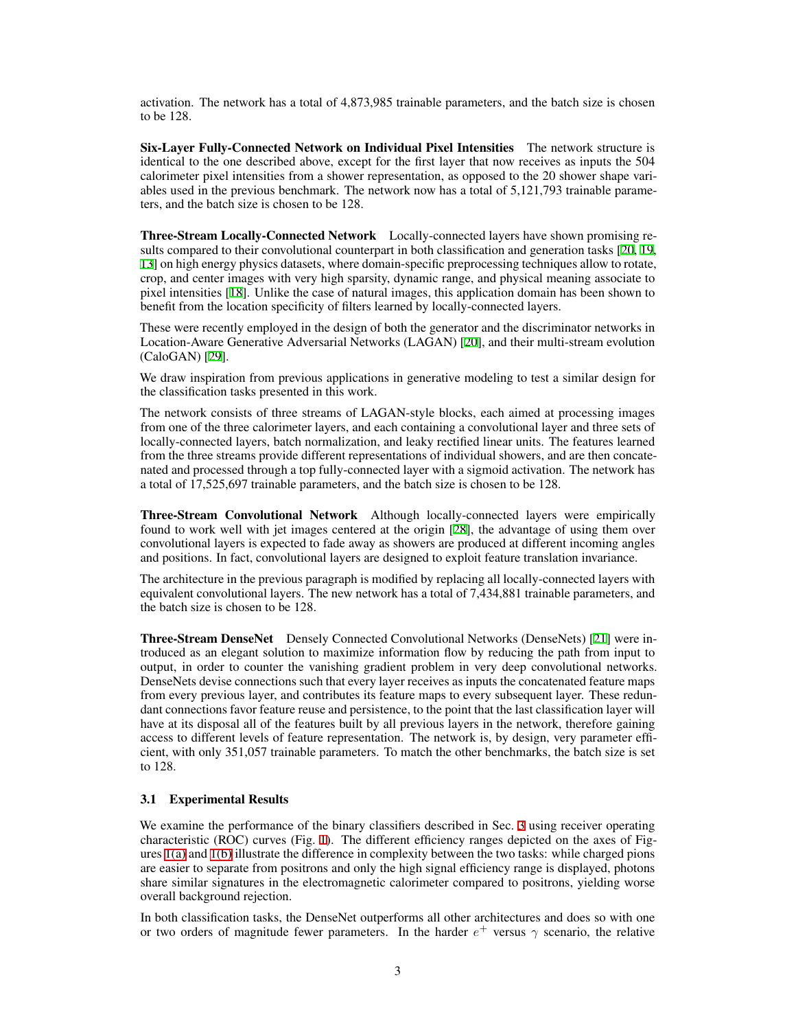activation. The network has a total of 4,873,985 trainable parameters, and the batch size is chosen to be 128.

Six-Layer Fully-Connected Network on Individual Pixel Intensities The network structure is identical to the one described above, except for the first layer that now receives as inputs the 504 calorimeter pixel intensities from a shower representation, as opposed to the 20 shower shape variables used in the previous benchmark. The network now has a total of 5,121,793 trainable parameters, and the batch size is chosen to be 128.

Three-Stream Locally-Connected Network Locally-connected layers have shown promising results compared to their convolutional counterpart in both classification and generation tasks [[20,](#page-5-6) [19,](#page-5-2) [13\]](#page-4-15) on high energy physics datasets, where domain-specific preprocessing techniques allow to rotate, crop, and center images with very high sparsity, dynamic range, and physical meaning associate to pixel intensities [[18\]](#page-5-1). Unlike the case of natural images, this application domain has been shown to benefit from the location specificity of filters learned by locally-connected layers.

These were recently employed in the design of both the generator and the discriminator networks in Location-Aware Generative Adversarial Networks (LAGAN) [\[20](#page-5-6)], and their multi-stream evolution (CaloGAN) [[29](#page-5-9)].

We draw inspiration from previous applications in generative modeling to test a similar design for the classification tasks presented in this work.

The network consists of three streams of LAGAN-style blocks, each aimed at processing images from one of the three calorimeter layers, and each containing a convolutional layer and three sets of locally-connected layers, batch normalization, and leaky rectified linear units. The features learned from the three streams provide different representations of individual showers, and are then concatenated and processed through a top fully-connected layer with a sigmoid activation. The network has a total of 17,525,697 trainable parameters, and the batch size is chosen to be 128.

Three-Stream Convolutional Network Although locally-connected layers were empirically found to work well with jet images centered at the origin [[28\]](#page-5-16), the advantage of using them over convolutional layers is expected to fade away as showers are produced at different incoming angles and positions. In fact, convolutional layers are designed to exploit feature translation invariance.

The architecture in the previous paragraph is modified by replacing all locally-connected layers with equivalent convolutional layers. The new network has a total of 7,434,881 trainable parameters, and the batch size is chosen to be 128.

Three-Stream DenseNet Densely Connected Convolutional Networks (DenseNets) [[21\]](#page-5-17) were introduced as an elegant solution to maximize information flow by reducing the path from input to output, in order to counter the vanishing gradient problem in very deep convolutional networks. DenseNets devise connections such that every layer receives as inputs the concatenated feature maps from every previous layer, and contributes its feature maps to every subsequent layer. These redundant connections favor feature reuse and persistence, to the point that the last classification layer will have at its disposal all of the features built by all previous layers in the network, therefore gaining access to different levels of feature representation. The network is, by design, very parameter efficient, with only 351,057 trainable parameters. To match the other benchmarks, the batch size is set to 128.

#### 3.1 Experimental Results

We examine the performance of the binary classifiers described in Sec. [3](#page-1-1) using receiver operating characteristic (ROC) curves (Fig. [1](#page-3-0)). The different efficiency ranges depicted on the axes of Figures [1\(a\)](#page-3-1) and [1\(b\)](#page-3-2) illustrate the difference in complexity between the two tasks: while charged pions are easier to separate from positrons and only the high signal efficiency range is displayed, photons share similar signatures in the electromagnetic calorimeter compared to positrons, yielding worse overall background rejection.

In both classification tasks, the DenseNet outperforms all other architectures and does so with one or two orders of magnitude fewer parameters. In the harder *e* <sup>+</sup> versus *γ* scenario, the relative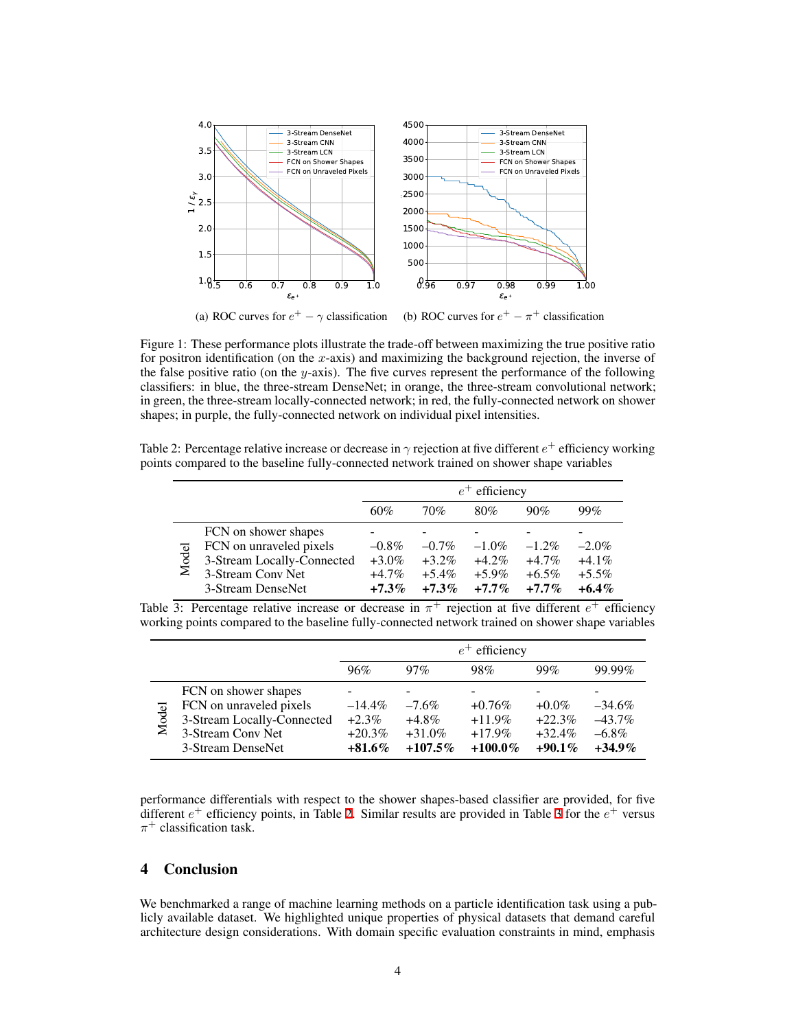<span id="page-3-1"></span>

<span id="page-3-2"></span><span id="page-3-0"></span>Figure 1: These performance plots illustrate the trade-off between maximizing the true positive ratio for positron identification (on the *x*-axis) and maximizing the background rejection, the inverse of the false positive ratio (on the *y*-axis). The five curves represent the performance of the following classifiers: in blue, the three-stream DenseNet; in orange, the three-stream convolutional network; in green, the three-stream locally-connected network; in red, the fully-connected network on shower shapes; in purple, the fully-connected network on individual pixel intensities.

Table 2: Percentage relative increase or decrease in  $\gamma$  rejection at five different  $e^+$  efficiency working points compared to the baseline fully-connected network trained on shower shape variables

<span id="page-3-3"></span>

|       |                                                                                                                         | $e^+$ efficiency                             |                                              |                                              |                                             |                                              |
|-------|-------------------------------------------------------------------------------------------------------------------------|----------------------------------------------|----------------------------------------------|----------------------------------------------|---------------------------------------------|----------------------------------------------|
|       |                                                                                                                         | 60%                                          | 70%                                          | 80%                                          | 90%                                         | 99%                                          |
| Model | FCN on shower shapes<br>FCN on unraveled pixels<br>3-Stream Locally-Connected<br>3-Stream Conv Net<br>3-Stream DenseNet | $-0.8\%$<br>$+3.0\%$<br>$+4.7\%$<br>$+7.3\%$ | $-0.7\%$<br>$+3.2\%$<br>$+5.4\%$<br>$+7.3\%$ | $-1.0\%$<br>$+4.2\%$<br>$+5.9\%$<br>$+7.7\%$ | $-1.2\%$<br>$+4.7%$<br>$+6.5\%$<br>$+7.7\%$ | $-2.0\%$<br>$+4.1\%$<br>$+5.5\%$<br>$+6.4\%$ |

<span id="page-3-4"></span>Table 3: Percentage relative increase or decrease in *π* <sup>+</sup> rejection at five different *e* <sup>+</sup> efficiency working points compared to the baseline fully-connected network trained on shower shape variables

|       |                            |           |            | $e^+$ efficiency |           |           |
|-------|----------------------------|-----------|------------|------------------|-----------|-----------|
|       |                            | 96%       | $97\%$     | 98%              | 99%       | 99.99%    |
|       | FCN on shower shapes       |           |            |                  |           |           |
| Model | FCN on unraveled pixels    | $-14.4\%$ | $-7.6\%$   | $+0.76\%$        | $+0.0\%$  | $-34.6\%$ |
|       | 3-Stream Locally-Connected | $+2.3\%$  | $+4.8\%$   | $+11.9\%$        | $+22.3%$  | $-43.7\%$ |
|       | 3-Stream Conv Net          | $+20.3%$  | $+31.0%$   | $+17.9\%$        | $+32.4%$  | $-6.8\%$  |
|       | 3-Stream DenseNet          | $+81.6\%$ | $+107.5\%$ | $+100.0\%$       | $+90.1\%$ | $+34.9\%$ |

performance differentials with respect to the shower shapes-based classifier are provided, for five different  $e^+$  efficiency points, in Table [2.](#page-3-3) Similar results are provided in Table [3](#page-3-4) for the  $e^+$  versus  $\pi^+$  classification task.

# 4 Conclusion

We benchmarked a range of machine learning methods on a particle identification task using a publicly available dataset. We highlighted unique properties of physical datasets that demand careful architecture design considerations. With domain specific evaluation constraints in mind, emphasis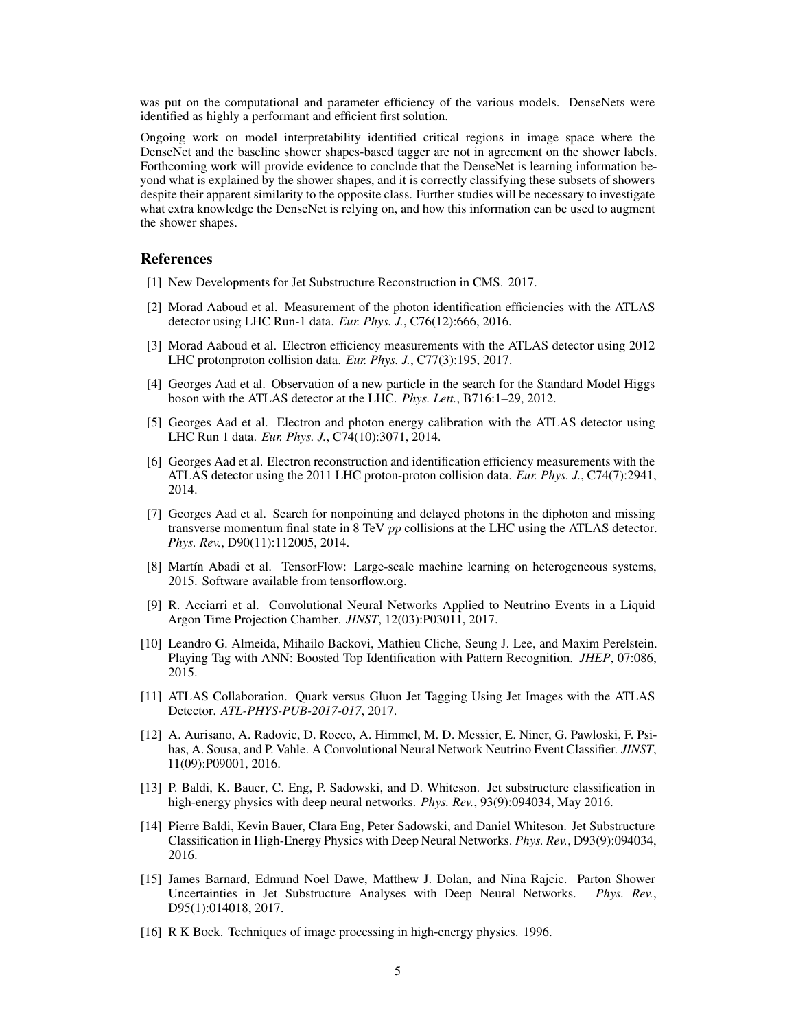was put on the computational and parameter efficiency of the various models. DenseNets were identified as highly a performant and efficient first solution.

Ongoing work on model interpretability identified critical regions in image space where the DenseNet and the baseline shower shapes-based tagger are not in agreement on the shower labels. Forthcoming work will provide evidence to conclude that the DenseNet is learning information beyond what is explained by the shower shapes, and it is correctly classifying these subsets of showers despite their apparent similarity to the opposite class. Further studies will be necessary to investigate what extra knowledge the DenseNet is relying on, and how this information can be used to augment the shower shapes.

#### References

- <span id="page-4-4"></span>[1] New Developments for Jet Substructure Reconstruction in CMS. 2017.
- <span id="page-4-9"></span>[2] Morad Aaboud et al. Measurement of the photon identification efficiencies with the ATLAS detector using LHC Run-1 data. *Eur. Phys. J.*, C76(12):666, 2016.
- <span id="page-4-8"></span>[3] Morad Aaboud et al. Electron efficiency measurements with the ATLAS detector using 2012 LHC protonproton collision data. *Eur. Phys. J.*, C77(3):195, 2017.
- <span id="page-4-12"></span>[4] Georges Aad et al. Observation of a new particle in the search for the Standard Model Higgs boson with the ATLAS detector at the LHC. *Phys. Lett.*, B716:1–29, 2012.
- <span id="page-4-10"></span>[5] Georges Aad et al. Electron and photon energy calibration with the ATLAS detector using LHC Run 1 data. *Eur. Phys. J.*, C74(10):3071, 2014.
- <span id="page-4-11"></span>[6] Georges Aad et al. Electron reconstruction and identification efficiency measurements with the ATLAS detector using the 2011 LHC proton-proton collision data. *Eur. Phys. J.*, C74(7):2941, 2014.
- <span id="page-4-13"></span>[7] Georges Aad et al. Search for nonpointing and delayed photons in the diphoton and missing transverse momentum final state in 8 TeV *pp* collisions at the LHC using the ATLAS detector. *Phys. Rev.*, D90(11):112005, 2014.
- <span id="page-4-14"></span>[8] Martín Abadi et al. TensorFlow: Large-scale machine learning on heterogeneous systems, 2015. Software available from tensorflow.org.
- <span id="page-4-7"></span>[9] R. Acciarri et al. Convolutional Neural Networks Applied to Neutrino Events in a Liquid Argon Time Projection Chamber. *JINST*, 12(03):P03011, 2017.
- <span id="page-4-3"></span>[10] Leandro G. Almeida, Mihailo Backovi, Mathieu Cliche, Seung J. Lee, and Maxim Perelstein. Playing Tag with ANN: Boosted Top Identification with Pattern Recognition. *JHEP*, 07:086, 2015.
- <span id="page-4-5"></span>[11] ATLAS Collaboration. Quark versus Gluon Jet Tagging Using Jet Images with the ATLAS Detector. *ATL-PHYS-PUB-2017-017*, 2017.
- <span id="page-4-6"></span>[12] A. Aurisano, A. Radovic, D. Rocco, A. Himmel, M. D. Messier, E. Niner, G. Pawloski, F. Psihas, A. Sousa, and P. Vahle. A Convolutional Neural Network Neutrino Event Classifier. *JINST*, 11(09):P09001, 2016.
- <span id="page-4-15"></span>[13] P. Baldi, K. Bauer, C. Eng, P. Sadowski, and D. Whiteson. Jet substructure classification in high-energy physics with deep neural networks. *Phys. Rev.*, 93(9):094034, May 2016.
- <span id="page-4-1"></span>[14] Pierre Baldi, Kevin Bauer, Clara Eng, Peter Sadowski, and Daniel Whiteson. Jet Substructure Classification in High-Energy Physics with Deep Neural Networks. *Phys. Rev.*, D93(9):094034, 2016.
- <span id="page-4-2"></span>[15] James Barnard, Edmund Noel Dawe, Matthew J. Dolan, and Nina Rajcic. Parton Shower<br>Uncertainties in Jet Substructure Analyses with Deep Neural Networks. Phys. Rev. Uncertainties in Jet Substructure Analyses with Deep Neural Networks. D95(1):014018, 2017.
- <span id="page-4-0"></span>[16] R K Bock. Techniques of image processing in high-energy physics. 1996.